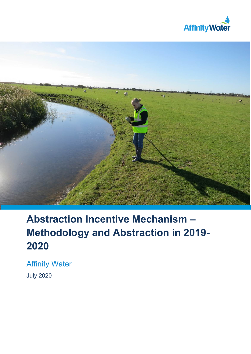



## **Abstraction Incentive Mechanism – Methodology and Abstraction in 2019- 2020**

Affinity Water July 2020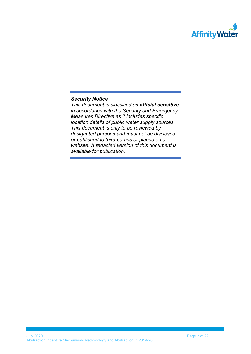

#### *Security Notice*

*This document is classified as official sensitive in accordance with the Security and Emergency Measures Directive as it includes specific location details of public water supply sources. This document is only to be reviewed by designated persons and must not be disclosed or published to third parties or placed on a website. A redacted version of this document is available for publication.*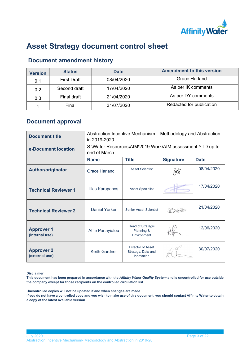

### **Asset Strategy document control sheet**

#### **Document amendment history**

| <b>Version</b> | <b>Status</b>      | <b>Date</b> | <b>Amendment to this version</b> |
|----------------|--------------------|-------------|----------------------------------|
| 0.1            | <b>First Draft</b> | 08/04/2020  | <b>Grace Harland</b>             |
| 0.2            | Second draft       | 17/04/2020  | As per IK comments               |
| 0.3            | Final draft        | 21/04/2020  | As per DY comments               |
|                | Final              | 31/07/2020  | Redacted for publication         |

#### **Document approval**

| <b>Document title</b>               | Abstraction Incentive Mechanism - Methodology and Abstraction<br>in 2019-2020 |                                                       |  |            |  |  |  |  |
|-------------------------------------|-------------------------------------------------------------------------------|-------------------------------------------------------|--|------------|--|--|--|--|
| e-Document location                 | S:\Water Resources\AIM\2019 Work\AIM assessment YTD up to<br>end of March     |                                                       |  |            |  |  |  |  |
|                                     | <b>Name</b>                                                                   | <b>Title</b><br><b>Signature</b><br><b>Date</b>       |  |            |  |  |  |  |
| <b>Author/originator</b>            | <b>Grace Harland</b>                                                          | <b>Asset Scientist</b>                                |  | 08/04/2020 |  |  |  |  |
| <b>Technical Reviewer 1</b>         | Ilias Karapanos                                                               | <b>Asset Specialist</b>                               |  | 17/04/2020 |  |  |  |  |
| <b>Technical Reviewer 2</b>         | <b>Daniel Yarker</b>                                                          | <b>Senior Asset Scientist</b>                         |  | 21/04/2020 |  |  |  |  |
| <b>Approver 1</b><br>(internal use) | Affie Panayiotou                                                              | <b>Head of Strategic</b><br>Planning &<br>Environment |  | 12/06/2020 |  |  |  |  |
| <b>Approver 2</b><br>(external use) | <b>Keith Gardner</b>                                                          | Director of Asset<br>Strategy, Data and<br>innovation |  | 30/07/2020 |  |  |  |  |

**Disclaimer**

**This document has been prepared in accordance with the** *Affinity Water Quality System* **and is uncontrolled for use outside the company except for those recipients on the controlled circulation list.** 

**Uncontrolled copies will not be updated if and when changes are made.**

**If you do not have a controlled copy and you wish to make use of this document, you should contact Affinity Water to obtain a copy of the latest available version.**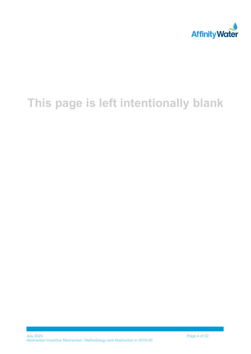

# **This page is left intentionally blank**

July 2020 Page 4 of 22 Abstraction Incentive Mechanism- Methodology and Abstraction in 2019-20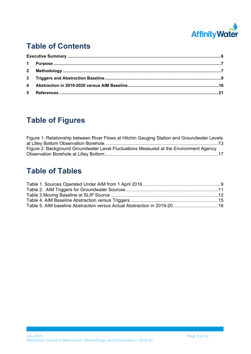

### **Table of Contents**

### **Table of Figures**

| Figure 1: Relationship between River Flows at Hitchin Gauging Station and Groundwater Levels |  |
|----------------------------------------------------------------------------------------------|--|
|                                                                                              |  |
| Figure 2: Background Groundwater Level Fluctuations Measured at the Environment Agency       |  |
|                                                                                              |  |

### **Table of Tables**

| Table 5. AIM baseline Abstraction versus Actual Abstraction in 2019-20 16 |  |
|---------------------------------------------------------------------------|--|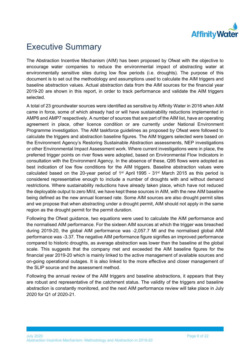

### <span id="page-5-0"></span>Executive Summary

The Abstraction Incentive Mechanism (AIM) has been proposed by Ofwat with the objective to encourage water companies to reduce the environmental impact of abstracting water at environmentally sensitive sites during low flow periods (i.e. droughts). The purpose of this document is to set out the methodology and assumptions used to calculate the AIM triggers and baseline abstraction values. Actual abstraction data from the AIM sources for the financial year 2019-20 are shown in this report, in order to track performance and validate the AIM triggers selected.

A total of 23 groundwater sources were identified as sensitive by Affinity Water in 2016 when AIM came in force, some of which already had or will have sustainability reductions implemented in AMP6 and AMP7 respectively. A number of sources that are part of the AIM list, have an operating agreement in place, other licence condition or are currently under National Environment Programme investigation. The AIM taskforce guidelines as proposed by Ofwat were followed to calculate the triggers and abstraction baseline figures. The AIM triggers selected were based on the Environment Agency's Restoring Sustainable Abstraction assessments, NEP investigations or other Environmental Impact Assessment work. Where current investigations were in place, the preferred trigger points on river flows were adopted, based on Environmental Flow Indicators in consultation with the Environment Agency. In the absence of these, Q95 flows were adopted as best indication of low flow conditions for the AIM triggers. Baseline abstraction values were calculated based on the 20-year period of  $1<sup>st</sup>$  April 1995 - 31<sup>st</sup> March 2015 as this period is considered representative enough to include a number of droughts with and without demand restrictions. Where sustainability reductions have already taken place, which have not reduced the deployable output to zero Ml/d, we have kept these sources in AIM, with the new AIM baseline being defined as the new annual licensed rate. Some AIM sources are also drought permit sites and we propose that when abstracting under a drought permit, AIM should not apply in the same region as the drought permit for the permit duration.

Following the Ofwat guidance, two equations were used to calculate the AIM performance and the normalised AIM performance. For the sixteen AIM sources at which the trigger was breached during 2019-20, the global AIM performance was -2,057.7 Ml and the normalised global AIM performance was -3.37. The negative AIM performance figure signifies an improved performance compared to historic droughts, as average abstraction was lower than the baseline at the global scale. This suggests that the company met and exceeded the AIM baseline figures for the financial year 2019-20 which is mainly linked to the active management of available sources and on-going operational outages. It is also linked to the more effective and closer management of the SLIP source and the assessment method.

Following the annual review of the AIM triggers and baseline abstractions, it appears that they are robust and representative of the catchment status. The validity of the triggers and baseline abstraction is constantly monitored, and the next AIM performance review will take place in July 2020 for Q1 of 2020-21.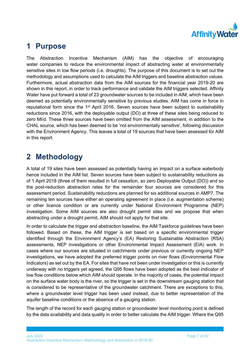

#### <span id="page-6-0"></span>**1 Purpose**

The Abstraction Incentive Mechanism (AIM) has the objective of encouraging water companies to reduce the environmental impact of abstracting water at environmentally sensitive sites in low flow periods (i.e. droughts). The purpose of this document is to set out the methodology and assumptions used to calculate the AIM triggers and baseline abstraction values. Furthermore, actual abstraction data from the AIM sources for the financial year 2019-20 are shown in this report, in order to track performance and validate the AIM triggers selected. Affinity Water have put forward a total of 23 groundwater sources to be included in AIM, which have been deemed as potentially environmentally sensitive by previous studies. AIM has come in force in reputational form since the 1<sup>st</sup> April 2016. Seven sources have been subject to sustainability reductions since 2016, with the deployable output (DO) at three of these sites being reduced to zero Ml/d. These three sources have been omitted from the AIM assessment, in addition to the CHAL source, which has been deemed to be 'not environmentally sensitive', following discussion with the Environment Agency. This leaves a total of 19 sources that have been assessed for AIM in this report.

### <span id="page-6-1"></span>**2 Methodology**

A total of 19 sites have been assessed as potentially having an impact on a surface waterbody hence included in the AIM list. Seven sources have been subject to sustainability reductions as of 1 April 2018 (three of them resulted in full cessation, so zero Deployable Output (DO)) and so the post-reduction abstraction rates for the remainder four sources are considered for this assessment period. Sustainability reductions are planned for six additional sources in AMP7. The remaining ten sources have either an operating agreement in place (i.e. augmentation scheme) or other licence condition or are currently under National Environment Programme (NEP) investigation. Some AIM sources are also drought permit sites and we propose that when abstracting under a drought permit, AIM should not apply for that site.

In order to calculate the trigger and abstraction baseline, the AIM Taskforce guidelines have been followed. Based on these, the AIM trigger is set based on a specific environmental trigger identified through the Environment Agency's (EA) Restoring Sustainable Abstraction (RSA) assessments, NEP investigations or other Environmental Impact Assessment (EIA) work. In cases where our sources are situated in catchments under previous or currently ongoing NEP investigations, we have adopted the preferred trigger points on river flows (Environmental Flow Indicators) as set out by the EA. For sites that have not been under investigation or this is currently underway with no triggers yet agreed, the Q95 flows have been adopted as the best indicator of low flow conditions below which AIM should operate. In the majority of cases, the potential impact on the surface water body is the river, so the trigger is set in the downstream gauging station that is considered to be representative of the groundwater catchment. There are exceptions to this, where a groundwater level trigger has been used instead, due to better representation of the aquifer baseline conditions or the absence of a gauging station.

The length of the record for each gauging station or groundwater level monitoring point is defined by the data availability and data quality in order to better calculate the AIM trigger. Where the Q95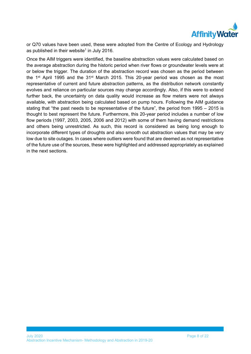

or Q70 values have been used, these were adopted from the Centre of Ecology and Hydrology as published in their website<sup>1</sup> in July 2016.

Once the AIM triggers were identified, the baseline abstraction values were calculated based on the average abstraction during the historic period when river flows or groundwater levels were at or below the trigger. The duration of the abstraction record was chosen as the period between the  $1<sup>st</sup>$  April 1995 and the  $31<sup>st</sup>$  March 2015. This 20-year period was chosen as the most representative of current and future abstraction patterns, as the distribution network constantly evolves and reliance on particular sources may change accordingly. Also, if this were to extend further back, the uncertainty on data quality would increase as flow meters were not always available, with abstraction being calculated based on pump hours. Following the AIM guidance stating that "the past needs to be representative of the future", the period from 1995 – 2015 is thought to best represent the future. Furthermore, this 20-year period includes a number of low flow periods (1997, 2003, 2005, 2006 and 2012) with some of them having demand restrictions and others being unrestricted. As such, this record is considered as being long enough to incorporate different types of droughts and also smooth out abstraction values that may be very low due to site outages. In cases where outliers were found that are deemed as not representative of the future use of the sources, these were highlighted and addressed appropriately as explained in the next sections.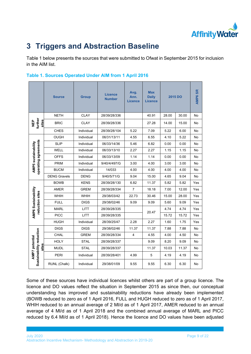

### <span id="page-8-0"></span>**3 Triggers and Abstraction Baseline**

[Table 1](#page-8-1) below presents the sources that were submitted to Ofwat in September 2015 for inclusion in the AIM list.

|                                                   | <b>Source</b>       | <b>Group</b> | <b>Licence</b><br><b>Number</b> | Avg.<br>Ann.<br><b>Licence</b> | <b>Max</b><br><b>Daily</b><br><b>Licence</b> | <b>2015 DO</b> |       | <b>AMP6 SR</b> |
|---------------------------------------------------|---------------------|--------------|---------------------------------|--------------------------------|----------------------------------------------|----------------|-------|----------------|
|                                                   | <b>NETH</b>         | <b>CLAY</b>  | 28/39/28/336                    |                                | 40.91                                        | 28.00          | 30.00 | No             |
| further<br>sites<br><b>D</b><br>NEP               | <b>BRIC</b>         | <b>CLAY</b>  | 28/39/28/336                    |                                | 27.28                                        | 14.00          | 15.00 | No             |
|                                                   | <b>CHES</b>         | Individual   | 28/39/28/104                    | 5.22                           | 7.09                                         | 5.22           | 6.00  | No             |
|                                                   | <b>OUGH</b>         | Individual   | 06/31/13/11                     | 4.55                           | 6.55                                         | 4.10           | 5.22  | No             |
|                                                   | <b>SLIP</b>         | Individual   | 06/33/14/36                     | 5.46                           | 6.82                                         | 0.00           | 0.00  | No             |
|                                                   | WELL                | Individual   | 06/33/13/10                     | 2.27                           | 2.27                                         | 1.15           | 1.15  | No             |
|                                                   | <b>OFFS</b>         | Individual   | 1.14<br>06/33/13/09             |                                | 1.14                                         | 0.00           | 0.00  | No             |
|                                                   | PRIM                | Individual   | 9/40/4/497/G                    | 3.00                           | 4.00                                         | 3.00           | 3.00  | No             |
| operating agreements<br>AMP5 sustainability       | <b>BUCM</b>         | Individual   | 14/033                          | 4.00                           | 4.00                                         | 4.00           | 4.00  | No             |
|                                                   | <b>DENG Gravels</b> | <b>DENG</b>  | 9/40/5/71/G                     | 9.04                           | 15.00                                        | 4.65           | 9.04  | No             |
|                                                   | <b>BOWB</b>         | <b>KENS</b>  | 28/39/28/130                    | 6.82                           | 11.37                                        | 5.82           | 5.82  | Yes            |
|                                                   | AMER                | <b>GREM</b>  | 28/39/28/334                    | 7                              | 18.18                                        | 7.00           | 12.00 | Yes            |
|                                                   | <b>WHIH</b>         | <b>WHIH</b>  | 29/38/03/42                     | 22.73                          | 30.46                                        | 15.00          | 28.00 | Yes            |
|                                                   | <b>FULL</b>         | <b>DIGS</b>  | 29/38/02/46                     | 9.09                           | 9.09                                         | 5.60           | 9.09  | Yes            |
| <b>AMP6 Sustainability</b><br>reduction sites     | <b>MARL</b>         | LITT         | 28/39/28/335                    |                                | 20.47                                        | 4.74           | 4.74  | Yes            |
|                                                   | <b>PICC</b>         | LITT         | 28/39/28/335                    |                                |                                              | 15.72          | 15.72 | Yes            |
|                                                   | HUGH                | Individual   | 28/39/25/47                     | 2.28                           | 2.27                                         | 1.60           | 1.75  | Yes            |
|                                                   | <b>DIGS</b>         | <b>DIGS</b>  | 29/38/02/46                     | 11.37                          | 11.37                                        | 7.88           | 7.88  | No             |
|                                                   | CHAL                | <b>GREM</b>  | 28/39/28/334                    | 4                              | 4.55                                         | 4.00           | 4.50  | No             |
|                                                   | <b>HOLY</b>         | <b>STAL</b>  | 28/39/28/337                    |                                | 9.09                                         | 8.20           | 9.09  | No             |
| sites                                             | <b>MUDL</b>         | <b>STAL</b>  | 28/39/28/337                    |                                | 11.37                                        | 10.03          | 11.37 | No             |
| Sustainability reduction<br><b>AMP7</b> potential | <b>PERI</b>         | Individual   | 28/39/28/401                    | 4.99                           | 5                                            | 4.19           | 4.19  | No             |
|                                                   | RUNL (Chalk)        | Individual   | 29/38/01/09                     | 9.55                           | 9.55                                         | 6.30           | 6.30  | No             |

#### <span id="page-8-1"></span>**Table 1. Sources Operated Under AIM from 1 April 2016**

Some of these sources have individual licences whilst others are part of a group licence. The licence and DO values reflect the situation in September 2015 as since then, our conceptual understanding has improved and sustainability reductions have already been implemented (BOWB reduced to zero as of 1 April 2016, FULL and HUGH reduced to zero as of 1 April 2017, WHIH reduced to an annual average of 2 Ml/d as of 1 April 2017, AMER reduced to an annual average of 4 Ml/d as of 1 April 2018 and the combined annual average of MARL and PICC reduced by 6.4 Ml/d as of 1 April 2018). Hence the licence and DO values have been adjusted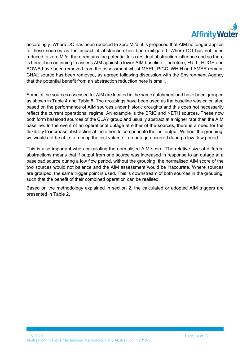

accordingly. Where DO has been reduced to zero Ml/d, it is proposed that AIM no longer applies to these sources as the impact of abstraction has been mitigated. Where DO has not been reduced to zero Ml/d, there remains the potential for a residual abstraction influence and so there is benefit in continuing to assess AIM against a lower AIM baseline. Therefore, FULL, HUGH and BOWB have been removed from the assessment whilst MARL, PICC, WHIH and AMER remain. CHAL source has been removed, as agreed following discussion with the Environment Agency that the potential benefit from an abstraction reduction here is small.

Some of the sources assessed for AIM are located in the same catchment and have been grouped as shown in [Table 4](#page-14-0) and [Table 5.](#page-15-1) The groupings have been used as the baseline was calculated based on the performance of AIM sources under historic droughts and this does not necessarily reflect the current operational regime. An example is the BRIC and NETH sources. These now both form baseload sources of the CLAY group and usually abstract at a higher rate than the AIM baseline. In the event of an operational outage at either of the sources, there is a need for the flexibility to increase abstraction at the other, to compensate the lost output. Without the grouping, we would not be able to recoup the lost volume if an outage occurred during a low flow period.

This is also important when calculating the normalised AIM score. The relative size of different abstractions means that if output from one source was increased in response to an outage at a baseload source during a low flow period, without the grouping, the normalised AIM score of the two sources would not balance and the AIM assessment would be inaccurate. Where sources are grouped, the same trigger point is used. This is downstream of both sources in the grouping, such that the benefit of their combined operation can be realised.

Based on the methodology explained in section 2, the calculated or adopted AIM triggers are presented in [Table 2.](#page-10-0)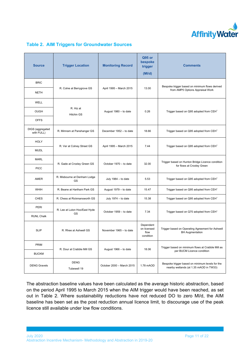

#### <span id="page-10-0"></span>**Table 2. AIM Triggers for Groundwater Sources**

| <b>Source</b>                  | <b>Trigger Location</b>            | <b>Monitoring Record</b>  | Q95 or<br>bespoke<br>trigger<br>(MI/d)        | <b>Comments</b>                                                                           |  |  |
|--------------------------------|------------------------------------|---------------------------|-----------------------------------------------|-------------------------------------------------------------------------------------------|--|--|
| <b>BRIC</b>                    |                                    |                           |                                               | Bespoke trigger based on minimum flows derived                                            |  |  |
| <b>NETH</b>                    | R. Colne at Berrygrove GS          | April 1995 - March 2015   | 13.00                                         | from AMP5 Options Appraisal Work                                                          |  |  |
| <b>WELL</b>                    |                                    |                           | 0.26                                          | Trigger based on Q95 adopted from CEH <sup>1</sup>                                        |  |  |
| <b>OUGH</b>                    | R. Hiz at<br>Hitchin GS            | August 1980 - to date     |                                               |                                                                                           |  |  |
| <b>OFFS</b>                    |                                    |                           |                                               |                                                                                           |  |  |
| DIGS (aggregated<br>with FULL) | R. Mimram at Panshanger GS         | December 1952 - to date   | 18.66                                         | Trigger based on Q95 adopted from CEH <sup>1</sup>                                        |  |  |
| <b>HOLY</b>                    | R. Ver at Colney Street GS         | April 1995 - March 2015   | 7.44                                          | Trigger based on Q95 adopted from CEH <sup>1</sup>                                        |  |  |
| <b>MUDL</b>                    |                                    |                           |                                               |                                                                                           |  |  |
| <b>MARL</b>                    | R. Gade at Croxley Green GS        | October 1970 - to date    | 32.00                                         | Trigger based on Hunton Bridge Licence condition                                          |  |  |
| <b>PICC</b>                    |                                    |                           |                                               | for flows at Croxley Green                                                                |  |  |
| AMER                           | R. Misbourne at Denham Lodge<br>GS | July 1984 - to date       | 5.53                                          | Trigger based on Q95 adopted from CEH <sup>1</sup>                                        |  |  |
| <b>WHIH</b>                    | R. Beane at Hartham Park GS        | August 1979 - to date     | 15.47                                         | Trigger based on Q95 adopted from CEH <sup>1</sup>                                        |  |  |
| <b>CHES</b>                    | R. Chess at Rickmansworth GS       | July 1974 - to date       | 15.38                                         | Trigger based on Q95 adopted from CEH <sup>1</sup>                                        |  |  |
| PERI                           | R. Lee at Luton Hoo/East Hyde      | October 1959 - to date    | 7.34                                          | Trigger based on Q70 adopted from CEH <sup>1</sup>                                        |  |  |
| <b>RUNL Chalk</b>              | GS                                 |                           |                                               |                                                                                           |  |  |
| <b>SLIP</b>                    | R. Rhee at Ashwell GS              | November 1965 - to date   | Dependent<br>on licensed<br>flow<br>condition | Trigger based on Operating Agreement for Ashwell<br><b>BH Augmentation</b>                |  |  |
| PRIM                           | R. Dour at Crabble Mill GS         | August 1966 - to date     | 18.06                                         | Trigger based on minimum flows at Crabble Mill as                                         |  |  |
| <b>BUCKM</b>                   |                                    |                           |                                               | per BUCM Licence condition                                                                |  |  |
| <b>DENG Gravels</b>            | <b>DENG</b><br>Tubewell 19         | October 2000 - March 2015 | 1.78 mAOD                                     | Bespoke trigger based on minimum levels for the<br>nearby wetlands (at 1.35 mAOD in TW33) |  |  |

The abstraction baseline values have been calculated as the average historic abstraction, based on the period April 1995 to March 2015 when the AIM trigger would have been reached, as set out in [Table 2.](#page-10-0) Where sustainability reductions have not reduced DO to zero Ml/d, the AIM baseline has been set as the post reduction annual licence limit, to discourage use of the peak licence still available under low flow conditions.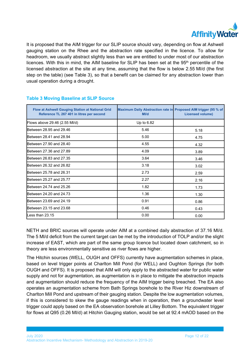

It is proposed that the AIM trigger for our SLIP source should vary, depending on flow at Ashwell gauging station on the Rhee and the abstraction rate specified in the licence. To allow for headroom, we usually abstract slightly less than we are entitled to under most of our abstraction licences. With this in mind, the AIM baseline for SLIP has been set at the  $95<sup>th</sup>$  percentile of the licensed abstraction at the site at any time, assuming that the flow is below 2.55 Ml/d (the first step on the table) (see [Table 3\)](#page-11-0), so that a benefit can be claimed for any abstraction lower than usual operation during a drought.

| <b>Flow at Ashwell Gauging Station at National Grid</b><br>Reference TL 267 401 in litres per second | Maximum Daily Abstraction rate in Proposed AIM trigger (95 % of<br>M/d | <b>Licensed volume)</b> |  |  |
|------------------------------------------------------------------------------------------------------|------------------------------------------------------------------------|-------------------------|--|--|
| Flows above 29.46 (2.55 Ml/d)                                                                        | Up to 6.82                                                             |                         |  |  |
| Between 28.95 and 29.46                                                                              | 5.46                                                                   | 5.18                    |  |  |
| <b>Between 28.41 and 28.94</b>                                                                       | 5.00                                                                   | 4.75                    |  |  |
| Between 27.90 and 28.40                                                                              | 4.55                                                                   | 4.32                    |  |  |
| Between 27.36 and 27.89                                                                              | 4.09                                                                   | 3.89                    |  |  |
| Between 26.83 and 27.35                                                                              | 3.64                                                                   | 3.46                    |  |  |
| Between 26.32 and 26.82                                                                              | 3.18                                                                   | 3.02                    |  |  |
| Between 25.78 and 26.31                                                                              | 2.73                                                                   | 2.59                    |  |  |
| Between 25.27 and 25.77                                                                              | 2.27                                                                   | 2.16                    |  |  |
| Between 24.74 and 25.26                                                                              | 1.82                                                                   | 1.73                    |  |  |
| <b>Between 24.20 and 24.73</b>                                                                       | 1.36                                                                   | 1.30                    |  |  |
| Between 23.69 and 24.19                                                                              | 0.91                                                                   | 0.86                    |  |  |
| <b>Between 23.15 and 23.68</b>                                                                       | 0.46                                                                   | 0.43                    |  |  |
| Less than $23.15$                                                                                    | 0.00                                                                   | 0.00                    |  |  |

#### <span id="page-11-0"></span>**Table 3 Moving Baseline at SLIP Source**

NETH and BRIC sources will operate under AIM at a combined daily abstraction of 37.16 Ml/d. The 5 Ml/d deficit from the current target can be met by the introduction of TOLP and/or the slight increase of EAST, which are part of the same group licence but located down catchment, so in theory are less environmentally sensitive as river flows are higher.

The Hitchin sources (WELL, OUGH and OFFS) currently have augmentation schemes in place, based on level trigger points at Charlton Mill Pond (for WELL) and Oughton Springs (for both OUGH and OFFS). It is proposed that AIM will only apply to the abstracted water for public water supply and not for augmentation, as augmentation is in place to mitigate the abstraction impacts and augmentation should reduce the frequency of the AIM trigger being breached. The EA also operates an augmentation scheme from Bath Springs borehole to the River Hiz downstream of Charlton Mill Pond and upstream of their gauging station. Despite the low augmentation volumes, if this is considered to skew the gauge readings when in operation, then a groundwater level trigger could apply based on the EA observation borehole at Lilley Bottom. The equivalent trigger for flows at Q95 (0.26 Ml/d) at Hitchin Gauging station, would be set at 92.4 mAOD based on the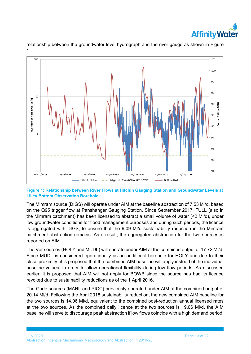

relationship between the groundwater level hydrograph and the river gauge as shown in [Figure](#page-12-0) 



#### <span id="page-12-0"></span>**Figure 1: Relationship between River Flows at Hitchin Gauging Station and Groundwater Levels at Lilley Bottom Observation Borehole**

The Mimram source (DIGS) will operate under AIM at the baseline abstraction of 7.53 Ml/d, based on the Q95 trigger flow at Panshanger Gauging Station. Since September 2017, FULL (also in the Mimram catchment) has been licensed to abstract a small volume of water (<2 Ml/d), under low groundwater conditions for flood management purposes and during such periods, the licence is aggregated with DIGS, to ensure that the 9.09 Ml/d sustainability reduction in the Mimram catchment abstraction remains. As a result, the aggregated abstraction for the two sources is reported on AIM.

The Ver sources (HOLY and MUDL) will operate under AIM at the combined output of 17.72 Ml/d. Since MUDL is considered operationally as an additional borehole for HOLY and due to their close proximity, it is proposed that the combined AIM baseline will apply instead of the individual baseline values, in order to allow operational flexibility during low flow periods. As discussed earlier, it is proposed that AIM will not apply for BOWB since the source has had its licence revoked due to sustainability reductions as of the 1 April 2016.

The Gade sources (MARL and PICC) previously operated under AIM at the combined output of 20.14 Ml/d. Following the April 2018 sustainability reduction, the new combined AIM baseline for the two sources is 14.06 Ml/d, equivalent to the combined post-reduction annual licensed rates at the two sources. As the combined daily licence at the two sources is 19.06 Ml/d, the AIM baseline will serve to discourage peak abstraction if low flows coincide with a high demand period.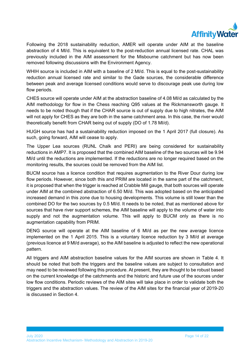

Following the 2018 sustainability reduction, AMER will operate under AIM at the baseline abstraction of 4 Ml/d. This is equivalent to the post-reduction annual licensed rate. CHAL was previously included in the AIM assessment for the Misbourne catchment but has now been removed following discussions with the Environment Agency.

WHIH source is included in AIM with a baseline of 2 MI/d. This is equal to the post-sustainability reduction annual licensed rate and similar to the Gade sources, the considerable difference between peak and average licensed conditions would serve to discourage peak use during low flow periods.

CHES source will operate under AIM at the abstraction baseline of 4.08 Ml/d as calculated by the AIM methodology for flow in the Chess reaching Q95 values at the Rickmansworth gauge. It needs to be noted though that if the CHAR source is out of supply due to high nitrates, the AIM will not apply for CHES as they are both in the same catchment area. In this case, the river would theoretically benefit from CHAR being out of supply (DO of 1.78 Ml/d).

HUGH source has had a sustainability reduction imposed on the 1 April 2017 (full closure). As such, going forward, AIM will cease to apply.

The Upper Lea sources (RUNL Chalk and PERI) are being considered for sustainability reductions in AMP7. It is proposed that the combined AIM baseline of the two sources will be 9.94 Ml/d until the reductions are implemented. If the reductions are no longer required based on the monitoring results, the sources could be removed from the AIM list.

BUCM source has a licence condition that requires augmentation to the River Dour during low flow periods. However, since both this and PRIM are located in the same part of the catchment, it is proposed that when the trigger is reached at Crabble Mill gauge, that both sources will operate under AIM at the combined abstraction of 6.50 Ml/d. This was adopted based on the anticipated increased demand in this zone due to housing developments. This volume is still lower than the combined DO for the two sources by 0.5 Ml/d. It needs to be noted, that as mentioned above for sources that have river support schemes, the AIM baseline will apply to the volume of water into supply and not the augmentation volume. This will apply to BUCM only as there is no augmentation capability from PRIM.

DENG source will operate at the AIM baseline of 6 Ml/d as per the new average licence implemented on the 1 April 2015. This is a voluntary licence reduction by 3 Ml/d at average (previous licence at 9 Ml/d average), so the AIM baseline is adjusted to reflect the new operational pattern.

All triggers and AIM abstraction baseline values for the AIM sources are shown in [Table 4.](#page-14-0) It should be noted that both the triggers and the baseline values are subject to consultation and may need to be reviewed following this procedure. At present, they are thought to be robust based on the current knowledge of the catchments and the historic and future use of the sources under low flow conditions. Periodic reviews of the AIM sites will take place in order to validate both the triggers and the abstraction values. The review of the AIM sites for the financial year of 2019-20 is discussed in Section 4.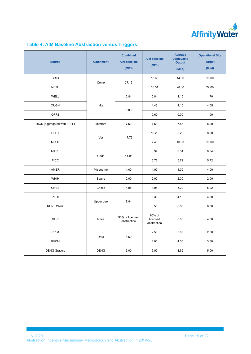

<span id="page-14-0"></span>

| <b>Table 4. AIM Baseline Abstraction versus Triggers</b> |
|----------------------------------------------------------|
|----------------------------------------------------------|

| <b>Source</b>               | <b>Catchment</b> | <b>Combined</b><br><b>AIM baseline</b><br>(MI/d) | <b>AIM baseline</b><br>(MI/d)     | Average<br><b>Deployable</b><br><b>Output</b><br>(MI/d) | <b>Operational Site</b><br><b>Target</b><br>(MI/d) |
|-----------------------------|------------------|--------------------------------------------------|-----------------------------------|---------------------------------------------------------|----------------------------------------------------|
| <b>BRIC</b>                 | Colne            |                                                  | 18.65                             | 14.00                                                   | 15.00                                              |
| <b>NETH</b>                 |                  | 37.16                                            | 18.51                             | 28.00                                                   | 27.00                                              |
| WELL                        |                  | 0.84                                             | 0.84                              | 1.15                                                    | 1.70                                               |
| <b>OUGH</b>                 | Hiz              |                                                  | 4.43                              | 4.10                                                    | 4.55                                               |
| <b>OFFS</b>                 |                  | 5.03                                             | 0.60                              | 0.00                                                    | 1.00                                               |
| DIGS (aggregated with FULL) | Mimram           | 7.53                                             | 7.53                              | 7.88                                                    | 8.00                                               |
| <b>HOLY</b>                 | Ver              | 17.72                                            | 10.29                             | 8.20                                                    | 8.00                                               |
| <b>MUDL</b>                 |                  |                                                  | 7.43                              | 10.03                                                   | 10.00                                              |
| <b>MARL</b>                 | Gade             |                                                  | 8.34                              | 8.34                                                    | 8.34                                               |
| <b>PICC</b>                 |                  | 14.06                                            | 5.72                              | 5.72                                                    | 5.72                                               |
| AMER                        | Misbourne        | 4.00                                             | 4.00                              | 4.00                                                    | 4.00                                               |
| WHIH                        | Beane            | 2.00                                             | 2.00                              | 2.00                                                    | 2.00                                               |
| <b>CHES</b>                 | Chess            | 4.08                                             | 4.08                              | 5.22                                                    | 5.22                                               |
| PERI                        | Upper Lee        | 9.94                                             | 3.36                              | 4.19                                                    | 4.50                                               |
| <b>RUNL Chalk</b>           |                  |                                                  | 6.58                              | 6.30                                                    | 6.30                                               |
| <b>SLIP</b>                 | Rhee             | 95% of licensed<br>abstraction                   | 95% of<br>licensed<br>abstraction | 0.00                                                    | 4.50                                               |
| PRIM                        | Dour             |                                                  | 2.50                              | 3.00                                                    | 2.50                                               |
| <b>BUCM</b>                 |                  | 6.50                                             | 4.00                              | 4.00                                                    | 3.50                                               |
| <b>DENG Gravels</b>         | <b>DENG</b>      | 6.00                                             | 6.00                              | 4.65                                                    | 5.00                                               |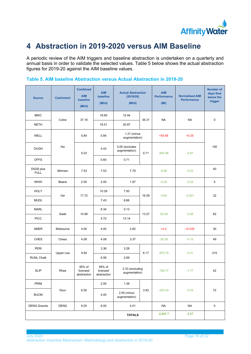

### <span id="page-15-0"></span>**4 Abstraction in 2019-2020 versus AIM Baseline**

A periodic review of the AIM triggers and baseline abstraction is undertaken on a quarterly and annual basis in order to validate the selected values. [Table 5](#page-15-1) below shows the actual abstraction figures for 2019-20 against the AIM baseline values.

| <b>Source</b>                    | <b>Catchment</b> | <b>Combined</b><br><b>AIM</b><br>baseline<br>(MI/d) | <b>AIM</b><br>baseline<br>(MI/d)  | <b>Actual Abstraction</b><br>(2019/20)<br>(MI/d) |            | <b>AIM</b><br><b>Performance</b><br>(MI) | <b>Normalised AIM</b><br><b>Performance</b> | <b>Number of</b><br>days flow<br>below the<br>trigger |
|----------------------------------|------------------|-----------------------------------------------------|-----------------------------------|--------------------------------------------------|------------|------------------------------------------|---------------------------------------------|-------------------------------------------------------|
| <b>BRIC</b>                      | Colne            | 37.16                                               | 18.65                             | 15.44                                            | 36.31      | <b>NA</b>                                | <b>NA</b>                                   | 0                                                     |
| <b>NETH</b>                      |                  |                                                     | 18.51                             | 20.87                                            |            |                                          |                                             |                                                       |
| WELL                             |                  | 0.84                                                | 0.84                              | $1.21$ (minus<br>augmentation)                   |            | $+55.68$                                 | $+0.35$                                     |                                                       |
| <b>OUGH</b>                      | Hiz              | 5.03                                                | 4.43                              | 0.00 (excludes<br>augmentation)                  | 0.71       | $-840.96$                                | $-0.87$                                     | 192                                                   |
| <b>OFFS</b>                      |                  |                                                     | 0.60                              | 0.71                                             |            |                                          |                                             |                                                       |
| <b>DIGSI plus</b><br><b>FULL</b> | Mimram           | 7.53                                                | 7.53                              | 7.79                                             |            | $-8.80$                                  | $-0.03$                                     | 40                                                    |
| <b>WHIH</b>                      | Beane            | 2.00                                                | 2.00                              | 1.97                                             |            | $-0.30$                                  | $-0.03$                                     | 5                                                     |
| <b>HOLY</b>                      | Ver              | 17.72                                               | 10.29                             | 7.93                                             | 16.59      | $-0.64$                                  | $-0.001$                                    | 32                                                    |
| <b>MUDL</b>                      |                  |                                                     | 7.43                              | 8.66                                             |            |                                          |                                             |                                                       |
| <b>MARL</b>                      | Gade             | 14.06                                               | 8.34                              | 0.13                                             | 13.27      | $-53.94$                                 | $-0.06$                                     | 62                                                    |
| <b>PICC</b>                      |                  |                                                     | 5.72                              | 13.14                                            |            |                                          |                                             |                                                       |
| AMER                             | Misbourne        | 4.00                                                | 4.00                              | 2.82                                             |            |                                          | $+0.035$                                    | 30                                                    |
| <b>CHES</b>                      | Chess            | 4.08                                                | 4.08                              | 3.37                                             |            | $-30.38$                                 | $-0.15$                                     | 49                                                    |
| PERI                             | Upper Lea        | 9.94                                                | 3.36                              | 3.28                                             | 6.17       | $-870.75$                                | $-0.41$                                     | 215                                                   |
| <b>RUNL Chalk</b>                |                  |                                                     | 6.58                              | 2.89                                             |            |                                          |                                             |                                                       |
| <b>SLIP</b>                      | Rhee             | 95% of<br>licensed<br>abstraction                   | 95% of<br>licensed<br>abstraction | 2.33 (excluding<br>augmentation)                 |            | $-108.77$                                | $-1.77$                                     | 42                                                    |
| PRIM                             |                  |                                                     | 2.50                              | 1.38                                             |            |                                          |                                             |                                                       |
| <b>BUCM</b>                      | Dour             | 6.50                                                | 4.00                              | 2.55 (minus<br>augmentation)                     | 3.93       | $-203.04$                                | $-0.43$                                     | 72                                                    |
| <b>DENG Gravels</b>              | <b>DENG</b>      | 6.00                                                | 6.00                              | 4.01                                             |            | <b>NA</b>                                | <b>NA</b>                                   | $\pmb{0}$                                             |
|                                  |                  |                                                     | <b>TOTALS</b>                     |                                                  | $-2,057.7$ | $-3.37$                                  |                                             |                                                       |

#### <span id="page-15-1"></span>**Table 5. AIM baseline Abstraction versus Actual Abstraction in 2019-20**

July 2020 Page 16 of 22 Abstraction Incentive Mechanism- Methodology and Abstraction in 2019-20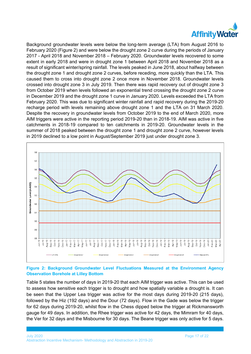

Background groundwater levels were below the long-term average (LTA) from August 2016 to February 2020 [\(Figure 2\)](#page-16-0) and were below the drought zone 2 curve during the periods of January 2017 - April 2018 and November 2018 – February 2020. Groundwater levels recovered to some extent in early 2018 and were in drought zone 1 between April 2018 and November 2018 as a result of significant winter/spring rainfall. The levels peaked in June 2018, about halfway between the drought zone 1 and drought zone 2 curves, before receding, more quickly than the LTA. This caused them to cross into drought zone 2 once more in November 2018. Groundwater levels crossed into drought zone 3 in July 2019. Then there was rapid recovery out of drought zone 3 from October 2019 when levels followed an exponential trend crossing the drought zone 2 curve in December 2019 and the drought zone 1 curve in January 2020. Levels exceeded the LTA from February 2020. This was due to significant winter rainfall and rapid recovery during the 2019-20 recharge period with levels remaining above drought zone 1 and the LTA on 31 March 2020. Despite the recovery in groundwater levels from October 2019 to the end of March 2020, more AIM triggers were active in the reporting period 2019-20 than in 2018-19. AIM was active in five catchments in 2018-19 compared to ten catchments in 2019-20. Groundwater levels in the summer of 2018 peaked between the drought zone 1 and drought zone 2 curve, however levels in 2019 declined to a low point in August/September 2019 just under drought zone 3.



#### <span id="page-16-0"></span>**Figure 2: Background Groundwater Level Fluctuations Measured at the Environment Agency Observation Borehole at Lilley Bottom**

[Table 5](#page-15-1) states the number of days in 2019-20 that each AIM trigger was active. This can be used to assess how sensitive each trigger is to drought and how spatially variable a drought is. It can be seen that the Upper Lea trigger was active for the most days during 2019-20 (215 days), followed by the Hiz (192 days) and the Dour (72 days). Flow in the Gade was below the trigger for 62 days during 2019-20, whilst flow in the Chess dipped below the trigger at Rickmansworth gauge for 49 days. In addition, the Rhee trigger was active for 42 days, the Mimram for 40 days, the Ver for 32 days and the Misbourne for 30 days. The Beane trigger was only active for 5 days.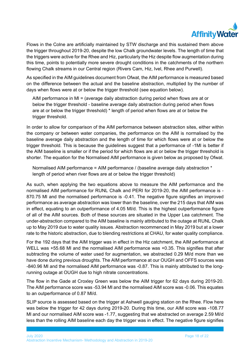

Flows in the Colne are artificially maintained by STW discharge and this sustained them above the trigger throughout 2019-20, despite the low Chalk groundwater levels. The length of time that the triggers were active for the Rhee and Hiz, particularly the Hiz despite flow augmentation during this time, points to potentially more severe drought conditions in the catchments of the northern flowing Chalk streams in our Central region (Rivers Cam, Hiz, Ivel, Rhee and Purwell).

As specified in the AIM guidelines document from Ofwat, the AIM performance is measured based on the difference between the actual and the baseline abstraction, multiplied by the number of days when flows were at or below the trigger threshold (see equation below).

AIM performance in Ml = (average daily abstraction during period when flows are at or below the trigger threshold - baseline average daily abstraction during period when flows are at or below the trigger threshold) \* length of period when flows are at or below the trigger threshold.

In order to allow for comparison of the AIM performance between abstraction sites, either within the company or between water companies, the performance on the AIM is normalised by the baseline average daily abstraction and the length of time for which flows were at or below the trigger threshold. This is because the guidelines suggest that a performance of -1Ml is better if the AIM baseline is smaller or if the period for which flows are at or below the trigger threshold is shorter. The equation for the Normalised AIM performance is given below as proposed by Ofwat.

Normalised AIM performance = AIM performance / (baseline average daily abstraction \* length of period when river flows are at or below the trigger threshold)

As such, when applying the two equations above to measure the AIM performance and the normalised AIM performance for RUNL Chalk and PERI for 2019-20, the AIM performance is - 870.75 Ml and the normalised performance is -0.41. The negative figure signifies an improved performance as average abstraction was lower than the baseline, over the 215 days that AIM was in effect, equating to an outperformance of 4.05 Ml/d. This is the highest outperformance figure of all of the AIM sources. Both of these sources are situated in the Upper Lea catchment. The under-abstraction compared to the AIM baseline is mainly attributed to the outage at RUNL Chalk up to May 2019 due to water quality issues. Abstraction recommenced in May 2019 but at a lower rate to the historic abstraction, due to blending restrictions at CHAU, for water quality compliance.

For the 192 days that the AIM trigger was in effect in the Hiz catchment, the AIM performance at WELL was +55.68 Ml and the normalised AIM performance was +0.35. This signifies that after subtracting the volume of water used for augmentation, we abstracted 0.29 Ml/d more than we have done during previous droughts. The AIM performance at our OUGH and OFFS sources was -840.96 Ml and the normalised AIM performance was -0.87. This is mainly attributed to the longrunning outage at OUGH due to high nitrate concentrations.

The flow in the Gade at Croxley Green was below the AIM trigger for 62 days during 2019-20. The AIM performance score was -53.94 Ml and the normalised AIM score was -0.06. This equates to an outperformance of 0.87 Ml/d.

SLIP source is assessed based on the trigger at Ashwell gauging station on the Rhee. Flow here was below the trigger for 42 days during 2019-20. During this time, our AIM score was -108.77 Ml and our normalised AIM score was -1.77, suggesting that we abstracted on average 2.59 Ml/d less than the rolling AIM baseline each day the trigger was in effect. The negative figure signifies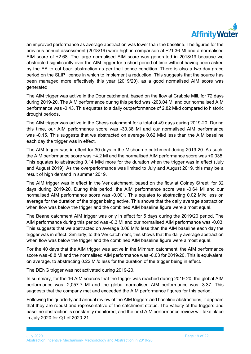

an improved performance as average abstraction was lower than the baseline. The figures for the previous annual assessment (2018/19) were high in comparison at +21.36 Ml and a normalised AIM score of +2.68. The large normalised AIM score was generated in 2018/19 because we abstracted significantly over the AIM trigger for a short period of time without having been asked by the EA to cut back abstraction as per the licence condition. There is also a two-day grace period on the SLIP licence in which to implement a reduction. This suggests that the source has been managed more effectively this year (2019/20), as a good normalised AIM score was generated.

The AIM trigger was active in the Dour catchment, based on the flow at Crabble Mill, for 72 days during 2019-20. The AIM performance during this period was -203.04 Ml and our normalised AIM performance was -0.43. This equates to a daily outperformance of 2.82 Ml/d compared to historic drought periods.

The AIM trigger was active in the Chess catchment for a total of 49 days during 2019-20. During this time, our AIM performance score was -30.38 Ml and our normalised AIM performance was -0.15. This suggests that we abstracted on average 0.62 Ml/d less than the AIM baseline each day the trigger was in effect.

The AIM trigger was in effect for 30 days in the Misbourne catchment during 2019-20. As such, the AIM performance score was +4.2 Ml and the normalised AIM performance score was +0.035. This equates to abstracting 0.14 Ml/d more for the duration when the trigger was in effect (July and August 2019). As the overperformance was limited to July and August 2019, this may be a result of high demand in summer 2019.

The AIM trigger was in effect in the Ver catchment, based on the flow at Colney Street, for 32 days during 2019-20. During this period, the AIM performance score was -0.64 Ml and our normalised AIM performance score was -0.001. This equates to abstracting 0.02 Ml/d less on average for the duration of the trigger being active. This shows that the daily average abstraction when flow was below the trigger and the combined AIM baseline figure were almost equal.

The Beane catchment AIM trigger was only in effect for 5 days during the 2019/20 period. The AIM performance during this period was -0.3 Ml and our normalised AIM performance was -0.03. This suggests that we abstracted on average 0.06 Ml/d less than the AIM baseline each day the trigger was in effect. Similarly, to the Ver catchment, this shows that the daily average abstraction when flow was below the trigger and the combined AIM baseline figure were almost equal.

For the 40 days that the AIM trigger was active in the Mimram catchment, the AIM performance score was -8.8 Ml and the normalised AIM performance was -0.03 for 2019/20. This is equivalent, on average, to abstracting 0.22 Ml/d less for the duration of the trigger being in effect.

The DENG trigger was not activated during 2019-20.

In summary, for the 16 AIM sources that the trigger was reached during 2019-20, the global AIM performance was -2,057.7 Ml and the global normalised AIM performance was -3.37. This suggests that the company met and exceeded the AIM performance figures for this period.

Following the quarterly and annual review of the AIM triggers and baseline abstractions, it appears that they are robust and representative of the catchment status. The validity of the triggers and baseline abstraction is constantly monitored, and the next AIM performance review will take place in July 2020 for Q1 of 2020-21.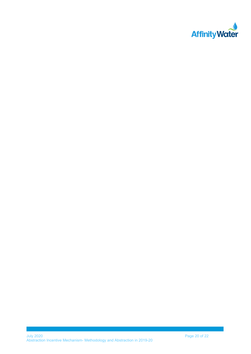